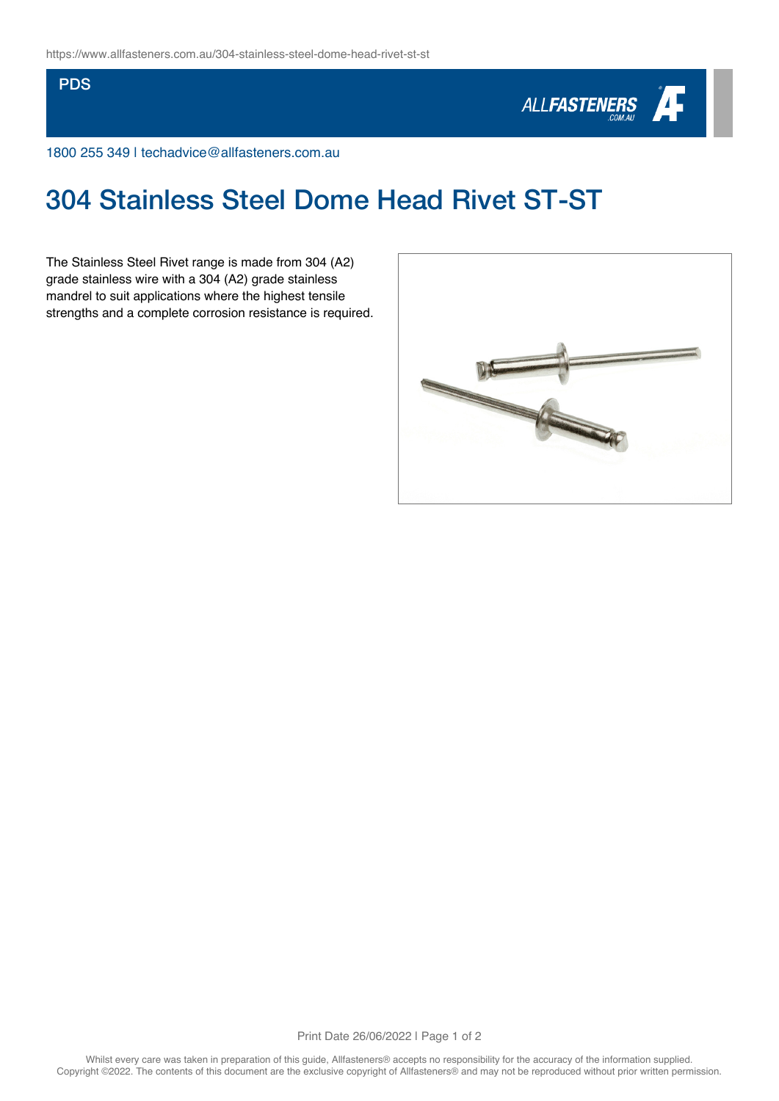## **PDS**



1800 255 349 | techadvice@allfasteners.com.au

## 304 Stainless Steel Dome Head Rivet ST-ST

The Stainless Steel Rivet range is made from 304 (A2) grade stainless wire with a 304 (A2) grade stainless mandrel to suit applications where the highest tensile strengths and a complete corrosion resistance is required.